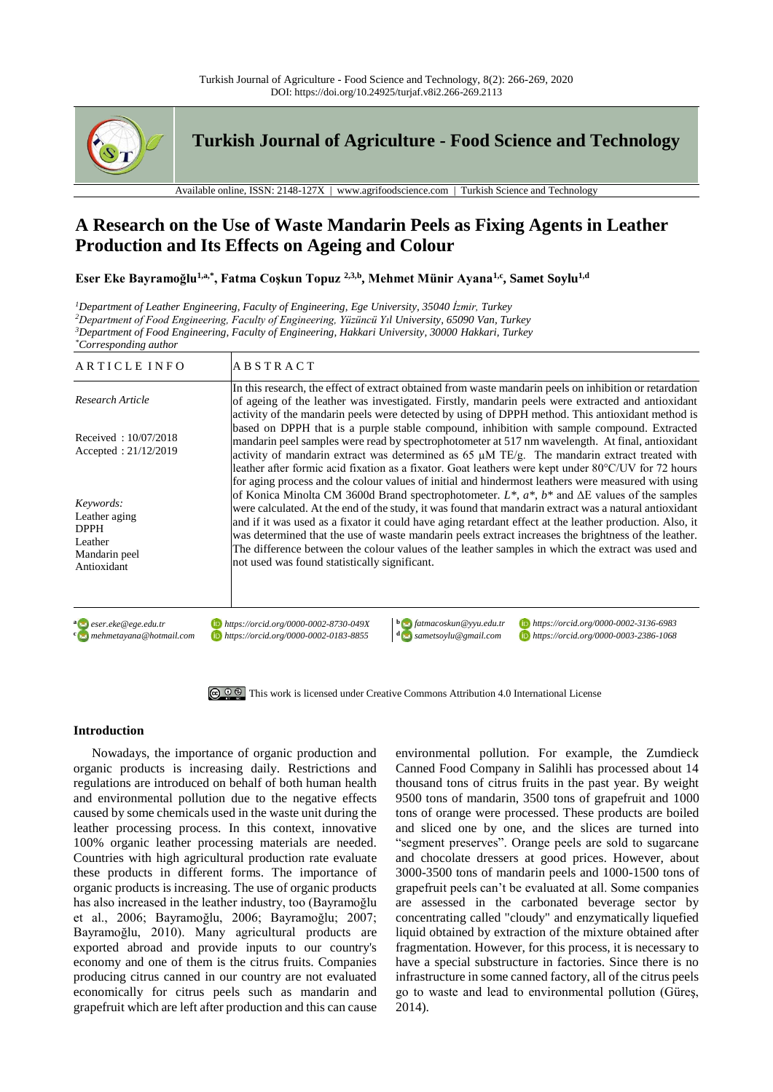

**Turkish Journal of Agriculture - Food Science and Technology**

Available online, ISSN: 2148-127X | www.agrifoodscience.com | Turkish Science and Technology

# **A Research on the Use of Waste Mandarin Peels as Fixing Agents in Leather Production and Its Effects on Ageing and Colour**

**Eser Eke Bayramoğlu1,a,\* , Fatma Coşkun Topuz 2,3,b , Mehmet Münir Ayana1,c, Samet Soylu1,d**

*<sup>1</sup>Department of Leather Engineering, Faculty of Engineering, Ege University, 35040 İzmir, Turkey <sup>2</sup>Department of Food Engineering, Faculty of Engineering, Yüzüncü Yıl University, 65090 Van, Turkey*

*<sup>3</sup>Department of Food Engineering, Faculty of Engineering, Hakkari University, 30000 Hakkari, Turkey*

*\*Corresponding author* ARTICLE INFO ABSTRACT *Research Article* Received : 10/07/2018 Accepted : 21/12/2019 In this research, the effect of extract obtained from waste mandarin peels on inhibition or retardation of ageing of the leather was investigated. Firstly, mandarin peels were extracted and antioxidant activity of the mandarin peels were detected by using of DPPH method. This antioxidant method is based on DPPH that is a purple stable compound, inhibition with sample compound. Extracted mandarin peel samples were read by spectrophotometer at 517 nm wavelength. At final, antioxidant activity of mandarin extract was determined as 65  $\mu$ M TE/g. The mandarin extract treated with leather after formic acid fixation as a fixator. Goat leathers were kept under 80°C/UV for 72 hours for aging process and the colour values of initial and hindermost leathers were measured with using of Konica Minolta CM 3600d Brand spectrophotometer. *L\**, *a\**, *b\** and ΔE values of the samples were calculated. At the end of the study, it was found that mandarin extract was a natural antioxidant and if it was used as a fixator it could have aging retardant effect at the leather production. Also, it was determined that the use of waste mandarin peels extract increases the brightness of the leather. The difference between the colour values of the leather samples in which the extract was used and not used was found statistically significant. *Keywords:* Leather aging DPPH Leather Mandarin peel Antioxidant **a** *eser.eke@ege.edu.tr https://orcid.org/0000-0002-8730-049X***<sup>b</sup>** *fatmacoskun@yyu.edu.tr https://orcid.org/0000-0002-3136-6983* **<sup>c</sup>** *mehmetayana@hotmail.com https://orcid.org/0000-0002-0183-8855***<sup>d</sup>** *sametsoylu@gmail.com https://orcid.org/0000-0003-2386-1068*

[This work is licensed under Creative Commons Attribution 4.0 International License](http://creativecommons.org/licenses/by-nc/4.0/)

# **Introduction**

Nowadays, the importance of organic production and organic products is increasing daily. Restrictions and regulations are introduced on behalf of both human health and environmental pollution due to the negative effects caused by some chemicals used in the waste unit during the leather processing process. In this context, innovative 100% organic leather processing materials are needed. Countries with high agricultural production rate evaluate these products in different forms. The importance of organic products is increasing. The use of organic products has also increased in the leather industry, too (Bayramoğlu et al., 2006; Bayramoğlu, 2006; Bayramoğlu; 2007; Bayramoğlu, 2010). Many agricultural products are exported abroad and provide inputs to our country's economy and one of them is the citrus fruits. Companies producing citrus canned in our country are not evaluated economically for citrus peels such as mandarin and grapefruit which are left after production and this can cause environmental pollution. For example, the Zumdieck Canned Food Company in Salihli has processed about 14 thousand tons of citrus fruits in the past year. By weight 9500 tons of mandarin, 3500 tons of grapefruit and 1000 tons of orange were processed. These products are boiled and sliced one by one, and the slices are turned into "segment preserves". Orange peels are sold to sugarcane and chocolate dressers at good prices. However, about 3000-3500 tons of mandarin peels and 1000-1500 tons of grapefruit peels can't be evaluated at all. Some companies are assessed in the carbonated beverage sector by concentrating called "cloudy" and enzymatically liquefied liquid obtained by extraction of the mixture obtained after fragmentation. However, for this process, it is necessary to have a special substructure in factories. Since there is no infrastructure in some canned factory, all of the citrus peels go to waste and lead to environmental pollution (Güreş, 2014).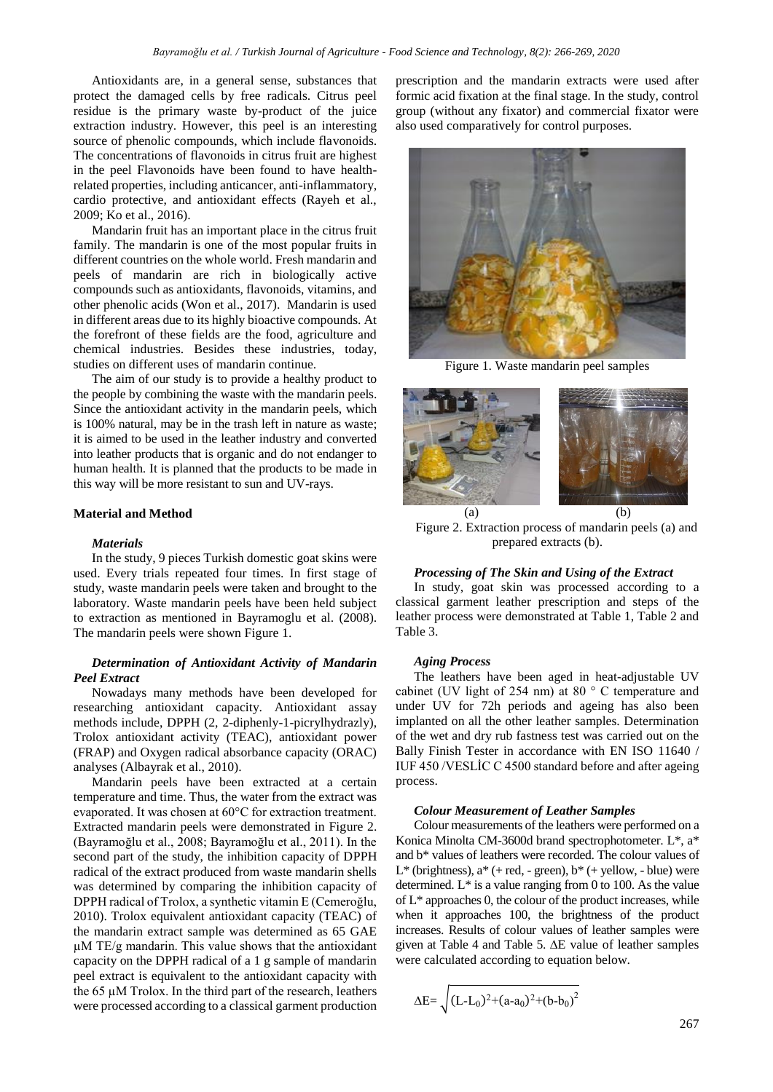Antioxidants are, in a general sense, substances that protect the damaged cells by free radicals. Citrus peel residue is the primary waste by-product of the juice extraction industry. However, this peel is an interesting source of phenolic compounds, which include flavonoids. The concentrations of flavonoids in citrus fruit are highest in the peel Flavonoids have been found to have healthrelated properties, including anticancer, anti-inflammatory, cardio protective, and antioxidant effects (Rayeh et al., 2009; Ko et al., 2016).

Mandarin fruit has an important place in the citrus fruit family. The mandarin is one of the most popular fruits in different countries on the whole world. Fresh mandarin and peels of mandarin are rich in biologically active compounds such as antioxidants, flavonoids, vitamins, and other phenolic acids (Won et al., 2017). Mandarin is used in different areas due to its highly bioactive compounds. At the forefront of these fields are the food, agriculture and chemical industries. Besides these industries, today, studies on different uses of mandarin continue.

The aim of our study is to provide a healthy product to the people by combining the waste with the mandarin peels. Since the antioxidant activity in the mandarin peels, which is 100% natural, may be in the trash left in nature as waste; it is aimed to be used in the leather industry and converted into leather products that is organic and do not endanger to human health. It is planned that the products to be made in this way will be more resistant to sun and UV-rays.

# **Material and Method**

## *Materials*

In the study, 9 pieces Turkish domestic goat skins were used. Every trials repeated four times. In first stage of study, waste mandarin peels were taken and brought to the laboratory. Waste mandarin peels have been held subject to extraction as mentioned in Bayramoglu et al. (2008). The mandarin peels were shown Figure 1.

# *Determination of Antioxidant Activity of Mandarin Peel Extract*

Nowadays many methods have been developed for researching antioxidant capacity. Antioxidant assay methods include, DPPH (2, 2-diphenly-1-picrylhydrazly), Trolox antioxidant activity (TEAC), antioxidant power (FRAP) and Oxygen radical absorbance capacity (ORAC) analyses (Albayrak et al., 2010).

Mandarin peels have been extracted at a certain temperature and time. Thus, the water from the extract was evaporated. It was chosen at 60°C for extraction treatment. Extracted mandarin peels were demonstrated in Figure 2. (Bayramoğlu et al., 2008; Bayramoğlu et al., 2011). In the second part of the study, the inhibition capacity of DPPH radical of the extract produced from waste mandarin shells was determined by comparing the inhibition capacity of DPPH radical of Trolox, a synthetic vitamin E (Cemeroğlu, 2010). Trolox equivalent antioxidant capacity (TEAC) of the mandarin extract sample was determined as 65 GAE  $\mu$ M TE/g mandarin. This value shows that the antioxidant capacity on the DPPH radical of a 1 g sample of mandarin peel extract is equivalent to the antioxidant capacity with the 65 µM Trolox. In the third part of the research, leathers were processed according to a classical garment production

prescription and the mandarin extracts were used after formic acid fixation at the final stage. In the study, control group (without any fixator) and commercial fixator were also used comparatively for control purposes.



Figure 1. Waste mandarin peel samples



Figure 2. Extraction process of mandarin peels (a) and prepared extracts (b).

## *Processing of The Skin and Using of the Extract*

In study, goat skin was processed according to a classical garment leather prescription and steps of the leather process were demonstrated at Table 1, Table 2 and Table 3.

#### *Aging Process*

The leathers have been aged in heat-adjustable UV cabinet (UV light of 254 nm) at 80 ° C temperature and under UV for 72h periods and ageing has also been implanted on all the other leather samples. Determination of the wet and dry rub fastness test was carried out on the Bally Finish Tester in accordance with EN ISO 11640 / IUF 450 /VESLİC C 4500 standard before and after ageing process.

#### *Colour Measurement of Leather Samples*

Colour measurements of the leathers were performed on a Konica Minolta CM-3600d brand spectrophotometer. L\*, a\* and b\* values of leathers were recorded. The colour values of L<sup>\*</sup> (brightness),  $a^*$  (+ red, - green),  $b^*$  (+ yellow, - blue) were determined.  $L^*$  is a value ranging from 0 to 100. As the value of L\* approaches 0, the colour of the product increases, while when it approaches 100, the brightness of the product increases. Results of colour values of leather samples were given at Table 4 and Table 5. ∆E value of leather samples were calculated according to equation below.

$$
\Delta E = \sqrt{(L - L_0)^2 + (a - a_0)^2 + (b - b_0)^2}
$$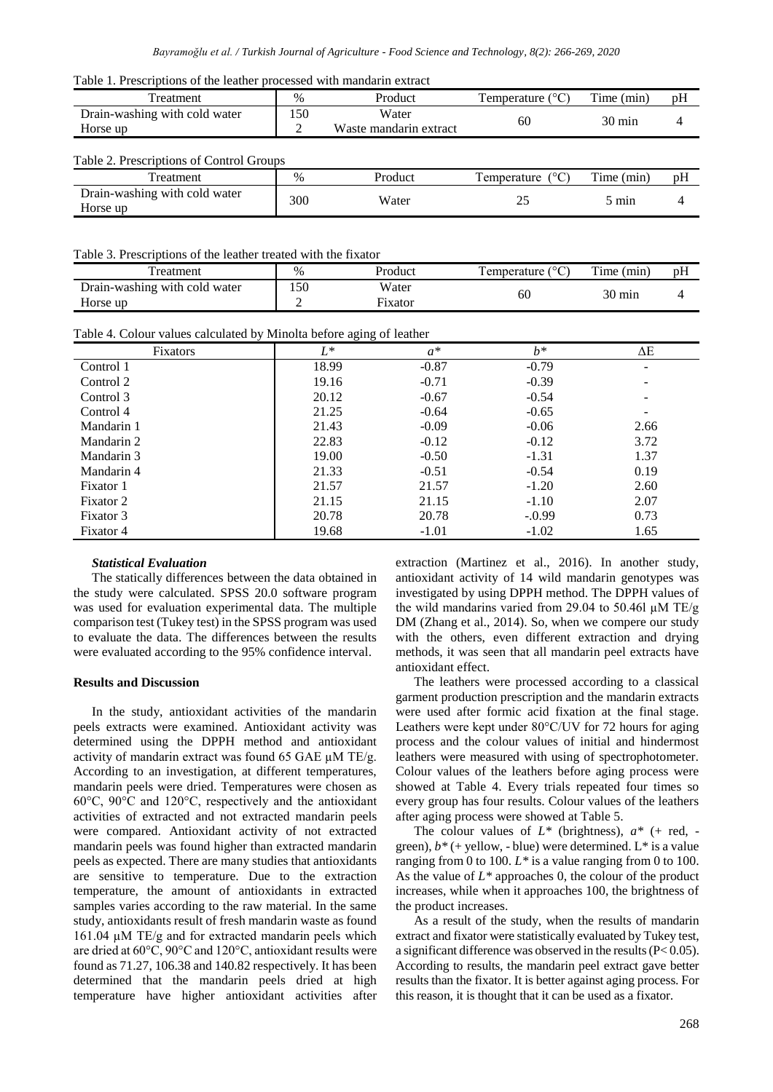|  |  |  |  |  |  |  |  |  | Table 1. Prescriptions of the leather processed with mandarin extract |  |  |  |
|--|--|--|--|--|--|--|--|--|-----------------------------------------------------------------------|--|--|--|
|--|--|--|--|--|--|--|--|--|-----------------------------------------------------------------------|--|--|--|

| Table 1. Prescriptions of the leather processed with mandarin extract              |               |                        |                              |                  |    |
|------------------------------------------------------------------------------------|---------------|------------------------|------------------------------|------------------|----|
| Treatment                                                                          | $\%$          | Product                | Temperature $(^{\circ}C)$    | Time (min)       | pH |
| Drain-washing with cold water                                                      | 150           | Water                  | 60                           | $30 \text{ min}$ | 4  |
| Horse up                                                                           | 2             | Waste mandarin extract |                              |                  |    |
| Table 2. Prescriptions of Control Groups                                           |               |                        |                              |                  |    |
| Treatment                                                                          | $\%$          | Product                | Temperature<br>$(^{\circ}C)$ | Time (min)       | pН |
| Drain-washing with cold water<br>Horse up                                          | 300           | Water                  | 25                           | 5 min            | 4  |
| Table 3. Prescriptions of the leather treated with the fixator<br><b>Treatment</b> | $\frac{0}{0}$ | Product                | Temperature $(^{\circ}C)$    | Time (min)       | pH |
|                                                                                    |               |                        |                              |                  |    |
| Drain-washing with cold water                                                      | 150           | Water                  | 60                           | 30 min           | 4  |
| Horse up                                                                           | 2             | Fixator                |                              |                  |    |
| Table 4. Colour values calculated by Minolta before aging of leather               |               |                        |                              |                  |    |
| Fixators                                                                           | $L^*$         | $a^*$                  | $h^*$                        | ΔΕ               |    |
| Control 1                                                                          | 18.99         | $-0.87$                | $-0.79$                      |                  |    |
| Control 2                                                                          | 19.16         | $-0.71$                | $-0.39$                      |                  |    |
| Control 3                                                                          | 20.12         | $-0.67$                | $-0.54$                      |                  |    |
| Control 4                                                                          | 21.25         | $-0.64$                | $-0.65$                      |                  |    |
| Mandarin 1                                                                         | 21.43         | $-0.09$                | $-0.06$                      | 2.66             |    |
| Mandarin 2                                                                         | 22.83         | $-0.12$                | $-0.12$                      | 3.72             |    |
| Mandarin 3                                                                         | 19.00         | $-0.50$                | $-1.31$                      | 1.37             |    |
| Mandarin 4                                                                         | 21.33         | $-0.51$                | $-0.54$                      | 0.19             |    |

Fixator 1 21.57 21.57 21.57 21.57 21.57 21.50 Fixator 2 21.15 21.15  $21.15$  21.15  $-1.10$  2.07 Fixator 3 20.78 20.78 20.78 20.78 20.79 20.73 Fixator 4 19.68 -1.01 -1.02 1.65

#### *Statistical Evaluation*

The statically differences between the data obtained in the study were calculated. SPSS 20.0 software program was used for evaluation experimental data. The multiple comparison test (Tukey test) in the SPSS program was used to evaluate the data. The differences between the results were evaluated according to the 95% confidence interval.

#### **Results and Discussion**

In the study, antioxidant activities of the mandarin peels extracts were examined. Antioxidant activity was determined using the DPPH method and antioxidant activity of mandarin extract was found 65 GAE  $\mu$ M TE/g. According to an investigation, at different temperatures, mandarin peels were dried. Temperatures were chosen as 60°C, 90°C and 120°C, respectively and the antioxidant activities of extracted and not extracted mandarin peels were compared. Antioxidant activity of not extracted mandarin peels was found higher than extracted mandarin peels as expected. There are many studies that antioxidants are sensitive to temperature. Due to the extraction temperature, the amount of antioxidants in extracted samples varies according to the raw material. In the same study, antioxidants result of fresh mandarin waste as found  $161.04 \mu M TE/g$  and for extracted mandarin peels which are dried at 60°C, 90°C and 120°C, antioxidant results were found as 71.27, 106.38 and 140.82 respectively. It has been determined that the mandarin peels dried at high temperature have higher antioxidant activities after extraction (Martinez et al., 2016). In another study, antioxidant activity of 14 wild mandarin genotypes was investigated by using DPPH method. The DPPH values of the wild mandarins varied from 29.04 to 50.46l  $\mu$ M TE/g DM (Zhang et al., 2014). So, when we compere our study with the others, even different extraction and drying methods, it was seen that all mandarin peel extracts have antioxidant effect.

The leathers were processed according to a classical garment production prescription and the mandarin extracts were used after formic acid fixation at the final stage. Leathers were kept under 80°C/UV for 72 hours for aging process and the colour values of initial and hindermost leathers were measured with using of spectrophotometer. Colour values of the leathers before aging process were showed at Table 4. Every trials repeated four times so every group has four results. Colour values of the leathers after aging process were showed at Table 5.

The colour values of *L\** (brightness), *a\** (+ red, green),  $b^*$  (+ yellow, - blue) were determined.  $L^*$  is a value ranging from 0 to 100. *L\** is a value ranging from 0 to 100. As the value of *L\** approaches 0, the colour of the product increases, while when it approaches 100, the brightness of the product increases.

As a result of the study, when the results of mandarin extract and fixator were statistically evaluated by Tukey test, a significant difference was observed in the results (P< 0.05). According to results, the mandarin peel extract gave better results than the fixator. It is better against aging process. For this reason, it is thought that it can be used as a fixator.